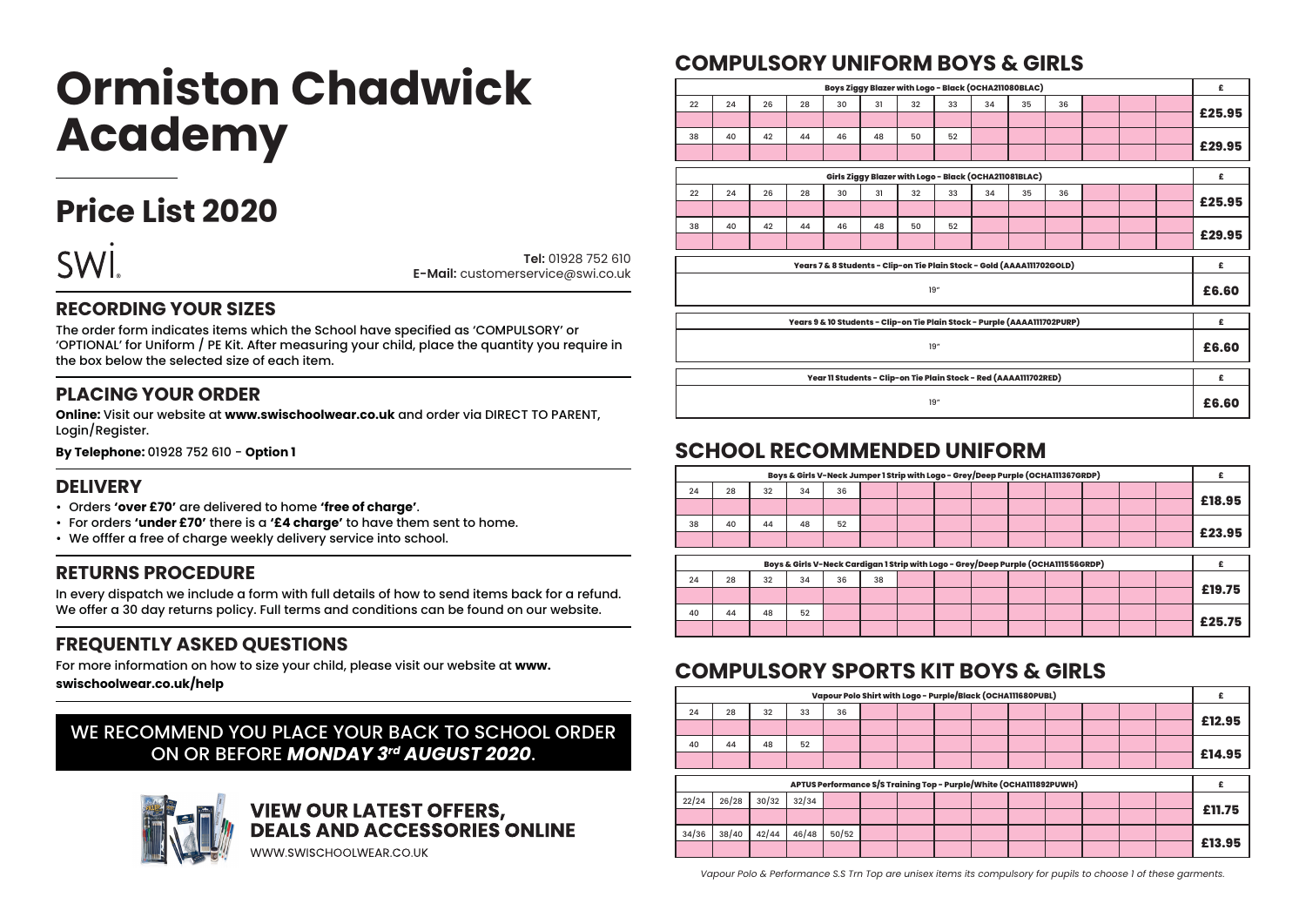# **Ormiston Chadwick Academy**

# **Price List 2020**



**Tel:** 01928 752 610 **E-Mail:** customerservice@swi.co.uk

#### **RECORDING YOUR SIZES**

The order form indicates items which the School have specified as 'COMPULSORY' or 'OPTIONAL' for Uniform / PE Kit. After measuring your child, place the quantity you require in the box below the selected size of each item.

#### **PLACING YOUR ORDER**

**Online:** Visit our website at **www.swischoolwear.co.uk** and order via DIRECT TO PARENT, Login/Register.

**By Telephone:** 01928 752 610 - **Option 1**

#### **DELIVERY**

- Orders **'over £70'** are delivered to home **'free of charge'**.
- For orders **'under £70'** there is a **'£4 charge'** to have them sent to home.
- We offfer a free of charge weekly delivery service into school.

#### **RETURNS PROCEDURE**

In every dispatch we include a form with full details of how to send items back for a refund. We offer a 30 day returns policy. Full terms and conditions can be found on our website.

#### **FREQUENTLY ASKED QUESTIONS**

For more information on how to size your child, please visit our website at **www.**

**swischoolwear.co.uk/help**

#### WE RECOMMEND YOU PLACE YOUR BACK TO SCHOOL ORDER ON OR BEFORE *MONDAY 3rd AUGUST 2020*.



# **VIEW OUR LATEST OFFERS,<br>DEALS AND ACCESSORIES ONLINE**

WWW.SWISCHOOLWEAR.CO.UK

# **COMPULSORY UNIFORM BOYS & GIRLS**

| £      |                                                       |  |  |    | Boys Ziggy Blazer with Logo - Black (OCHA211080BLAC) |    |    |     |    |                                                                           |    |    |    |    |  |
|--------|-------------------------------------------------------|--|--|----|------------------------------------------------------|----|----|-----|----|---------------------------------------------------------------------------|----|----|----|----|--|
|        |                                                       |  |  | 36 | 35                                                   | 34 | 33 | 32  | 31 | 30                                                                        | 28 | 26 | 24 | 22 |  |
| £25.95 |                                                       |  |  |    |                                                      |    |    |     |    |                                                                           |    |    |    |    |  |
|        |                                                       |  |  |    |                                                      |    | 52 | 50  | 48 | 46                                                                        | 44 | 42 | 40 | 38 |  |
| £29.95 |                                                       |  |  |    |                                                      |    |    |     |    |                                                                           |    |    |    |    |  |
| £      |                                                       |  |  |    |                                                      |    |    |     |    |                                                                           |    |    |    |    |  |
|        | Girls Ziggy Blazer with Logo - Black (OCHA211081BLAC) |  |  |    |                                                      |    |    |     |    |                                                                           |    |    |    |    |  |
| £25.95 |                                                       |  |  | 36 | 35                                                   | 34 | 33 | 32  | 31 | 30                                                                        | 28 | 26 | 24 | 22 |  |
|        |                                                       |  |  |    |                                                      |    |    |     |    |                                                                           |    |    |    |    |  |
|        |                                                       |  |  |    |                                                      |    | 52 | 50  | 48 | 46                                                                        | 44 | 42 | 40 | 38 |  |
| £29.95 |                                                       |  |  |    |                                                      |    |    |     |    |                                                                           |    |    |    |    |  |
|        |                                                       |  |  |    |                                                      |    |    |     |    |                                                                           |    |    |    |    |  |
| £      |                                                       |  |  |    |                                                      |    |    |     |    | Years 7 & 8 Students - Clip-on Tie Plain Stock - Gold (AAAA111702GOLD)    |    |    |    |    |  |
| £6.60  |                                                       |  |  |    |                                                      |    |    | 19" |    |                                                                           |    |    |    |    |  |
| £      |                                                       |  |  |    |                                                      |    |    |     |    | Years 9 & 10 Students - Clip-on Tie Plain Stock - Purple (AAAA111702PURP) |    |    |    |    |  |
|        |                                                       |  |  |    |                                                      |    |    |     |    |                                                                           |    |    |    |    |  |
| £6.60  |                                                       |  |  |    |                                                      |    |    | 19" |    |                                                                           |    |    |    |    |  |
|        |                                                       |  |  |    |                                                      |    |    |     |    |                                                                           |    |    |    |    |  |
| £      |                                                       |  |  |    |                                                      |    |    |     |    | Year 11 Students - Clip-on Tie Plain Stock - Red (AAAA111702RED)          |    |    |    |    |  |
| £6.60  |                                                       |  |  |    |                                                      |    |    | 19" |    |                                                                           |    |    |    |    |  |

## **SCHOOL RECOMMENDED UNIFORM**

| £      |  |  |  |  |    | Boys & Girls V-Neck Jumper 1 Strip with Logo - Grey/Deep Purple (OCHA111367GRDP)   |    |    |    |    |
|--------|--|--|--|--|----|------------------------------------------------------------------------------------|----|----|----|----|
|        |  |  |  |  |    | 36                                                                                 | 34 | 32 | 28 | 24 |
| £18.95 |  |  |  |  |    |                                                                                    |    |    |    |    |
|        |  |  |  |  |    | 52                                                                                 | 48 | 44 | 40 | 38 |
| £23.95 |  |  |  |  |    |                                                                                    |    |    |    |    |
|        |  |  |  |  |    |                                                                                    |    |    |    |    |
|        |  |  |  |  |    |                                                                                    |    |    |    |    |
|        |  |  |  |  |    | Boys & Girls V-Neck Cardigan 1 Strip with Logo - Grey/Deep Purple (OCHA111556GRDP) |    |    |    |    |
|        |  |  |  |  | 38 | 36                                                                                 | 34 | 32 | 28 | 24 |
| £19.75 |  |  |  |  |    |                                                                                    |    |    |    |    |
| £25.75 |  |  |  |  |    |                                                                                    | 52 | 48 | 44 | 40 |

# **COMPULSORY SPORTS KIT BOYS & GIRLS**

| £      |  |  | Vapour Polo Shirt with Logo - Purple/Black (OCHA111680PUBL)        |  |  |       |       |       |       |       |
|--------|--|--|--------------------------------------------------------------------|--|--|-------|-------|-------|-------|-------|
|        |  |  |                                                                    |  |  | 36    | 33    | 32    | 28    | 24    |
| £12.95 |  |  |                                                                    |  |  |       |       |       |       |       |
|        |  |  |                                                                    |  |  |       | 52    | 48    | 44    | 40    |
| £14.95 |  |  |                                                                    |  |  |       |       |       |       |       |
|        |  |  |                                                                    |  |  |       |       |       |       |       |
|        |  |  | APTUS Performance S/S Training Top - Purple/White (OCHA111892PUWH) |  |  |       |       |       |       |       |
|        |  |  |                                                                    |  |  |       | 32/34 | 30/32 | 26/28 | 22/24 |
| £11.75 |  |  |                                                                    |  |  |       |       |       |       |       |
|        |  |  |                                                                    |  |  | 50/52 | 46/48 | 42/44 | 38/40 | 34/36 |
| £13.95 |  |  |                                                                    |  |  |       |       |       |       |       |

*Vapour Polo & Performance S.S Trn Top are unisex items its compulsory for pupils to choose 1 of these garments.*